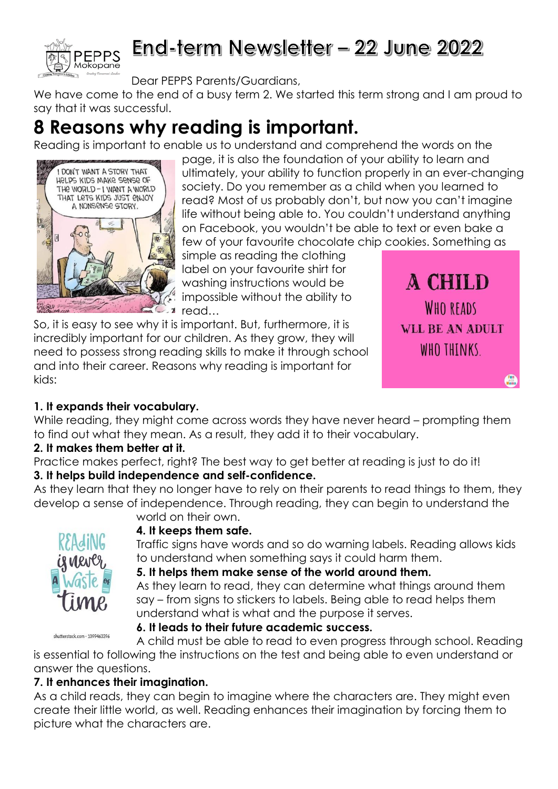

# End-term Newsletter  $-22$  June 2022

Dear PEPPS Parents/Guardians,

We have come to the end of a busy term 2. We started this term strong and I am proud to say that it was successful.

# **8 Reasons why reading is important.**

Reading is important to enable us to understand and comprehend the words on the



page, it is also the foundation of your ability to learn and ultimately, your ability to function properly in an ever-changing society. Do you remember as a child when you learned to read? Most of us probably don't, but now you can't imagine life without being able to. You couldn't understand anything on Facebook, you wouldn't be able to text or even bake a few of your favourite chocolate chip cookies. Something as

simple as reading the clothing label on your favourite shirt for washing instructions would be impossible without the ability to  $\mathbb{C}$  at read...

So, it is easy to see why it is important. But, furthermore, it is incredibly important for our children. As they grow, they will need to possess strong reading skills to make it through school and into their career. Reasons why reading is important for kids:



# **1. It expands their vocabulary.**

While reading, they might come across words they have never heard – prompting them to find out what they mean. As a result, they add it to their vocabulary.

## **2. It makes them better at it.**

Practice makes perfect, right? The best way to get better at reading is just to do it! **3. It helps build independence and self-confidence.**

As they learn that they no longer have to rely on their parents to read things to them, they develop a sense of independence. Through reading, they can begin to understand the world on their own.



## **4. It keeps them safe.**

Traffic signs have words and so do warning labels. Reading allows kids to understand when something says it could harm them.

## **5. It helps them make sense of the world around them.**

As they learn to read, they can determine what things around them say – from signs to stickers to labels. Being able to read helps them understand what is what and the purpose it serves.

**6. It leads to their future academic success.**

shutterstock.com · 1099463396 A child must be able to read to even progress through school. Reading is essential to following the instructions on the test and being able to even understand or answer the questions.

## **7. It enhances their imagination.**

As a child reads, they can begin to imagine where the characters are. They might even create their little world, as well. Reading enhances their imagination by forcing them to picture what the characters are.